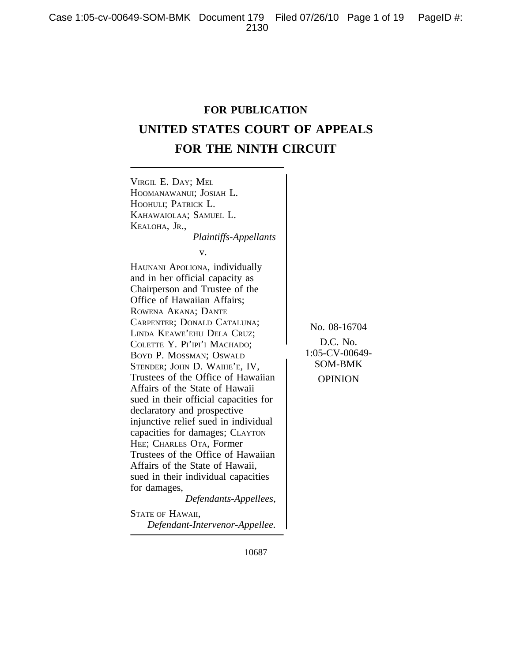# **FOR PUBLICATION UNITED STATES COURT OF APPEALS FOR THE NINTH CIRCUIT**



10687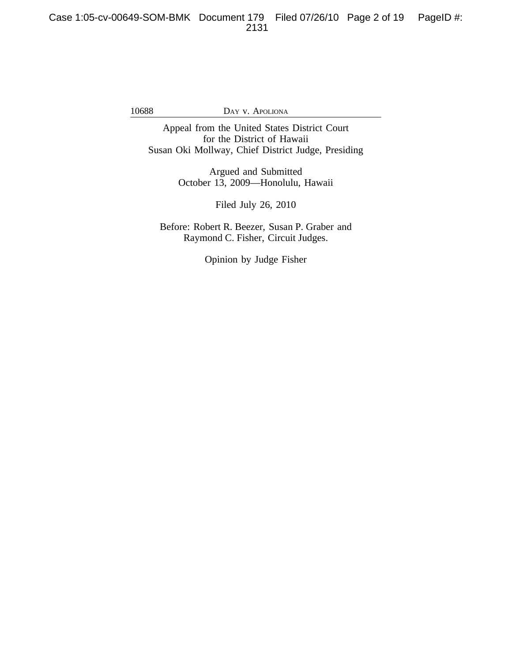Appeal from the United States District Court for the District of Hawaii Susan Oki Mollway, Chief District Judge, Presiding

> Argued and Submitted October 13, 2009—Honolulu, Hawaii

> > Filed July 26, 2010

Before: Robert R. Beezer, Susan P. Graber and Raymond C. Fisher, Circuit Judges.

Opinion by Judge Fisher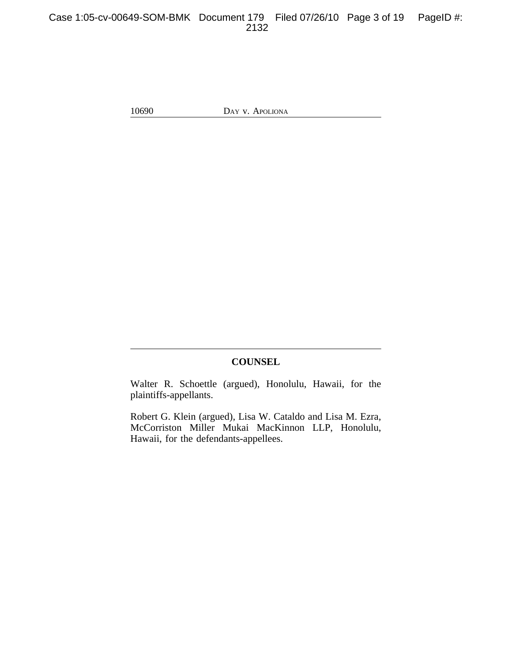# Case 1:05-cv-00649-SOM-BMK Document 179 Filed 07/26/10 Page 3 of 19 PageID #: 2132

10690 DAY v. APOLIONA

## **COUNSEL**

Walter R. Schoettle (argued), Honolulu, Hawaii, for the plaintiffs-appellants.

Robert G. Klein (argued), Lisa W. Cataldo and Lisa M. Ezra, McCorriston Miller Mukai MacKinnon LLP, Honolulu, Hawaii, for the defendants-appellees.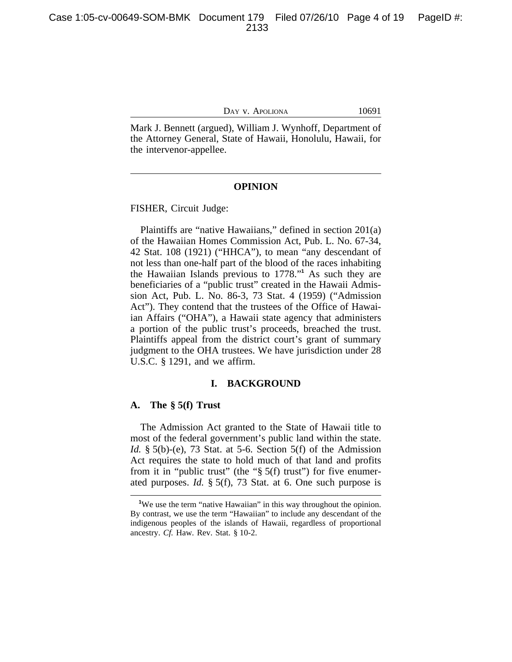Mark J. Bennett (argued), William J. Wynhoff, Department of the Attorney General, State of Hawaii, Honolulu, Hawaii, for the intervenor-appellee.

## **OPINION**

FISHER, Circuit Judge:

Plaintiffs are "native Hawaiians," defined in section 201(a) of the Hawaiian Homes Commission Act, Pub. L. No. 67-34, 42 Stat. 108 (1921) ("HHCA"), to mean "any descendant of not less than one-half part of the blood of the races inhabiting the Hawaiian Islands previous to 1778." **1** As such they are beneficiaries of a "public trust" created in the Hawaii Admission Act, Pub. L. No. 86-3, 73 Stat. 4 (1959) ("Admission Act"). They contend that the trustees of the Office of Hawaiian Affairs ("OHA"), a Hawaii state agency that administers a portion of the public trust's proceeds, breached the trust. Plaintiffs appeal from the district court's grant of summary judgment to the OHA trustees. We have jurisdiction under 28 U.S.C. § 1291, and we affirm.

#### **I. BACKGROUND**

## **A. The § 5(f) Trust**

The Admission Act granted to the State of Hawaii title to most of the federal government's public land within the state. *Id.* § 5(b)-(e), 73 Stat. at 5-6. Section 5(f) of the Admission Act requires the state to hold much of that land and profits from it in "public trust" (the " $\S$  5(f) trust") for five enumerated purposes. *Id.* § 5(f), 73 Stat. at 6. One such purpose is

**<sup>1</sup>**We use the term "native Hawaiian" in this way throughout the opinion. By contrast, we use the term "Hawaiian" to include any descendant of the indigenous peoples of the islands of Hawaii, regardless of proportional ancestry. *Cf.* Haw. Rev. Stat. § 10-2.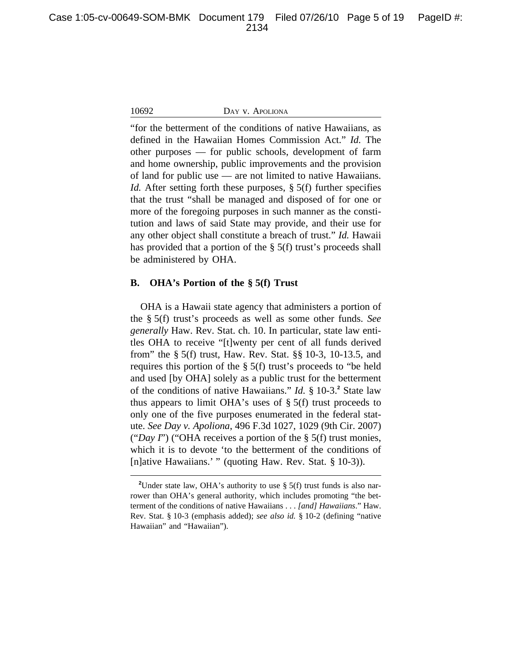"for the betterment of the conditions of native Hawaiians, as defined in the Hawaiian Homes Commission Act." *Id.* The other purposes — for public schools, development of farm and home ownership, public improvements and the provision of land for public use — are not limited to native Hawaiians. *Id.* After setting forth these purposes, § 5(f) further specifies that the trust "shall be managed and disposed of for one or more of the foregoing purposes in such manner as the constitution and laws of said State may provide, and their use for any other object shall constitute a breach of trust." *Id.* Hawaii has provided that a portion of the § 5(f) trust's proceeds shall be administered by OHA.

## **B. OHA's Portion of the § 5(f) Trust**

OHA is a Hawaii state agency that administers a portion of the § 5(f) trust's proceeds as well as some other funds. *See generally* Haw. Rev. Stat. ch. 10. In particular, state law entitles OHA to receive "[t]wenty per cent of all funds derived from" the § 5(f) trust, Haw. Rev. Stat. §§ 10-3, 10-13.5, and requires this portion of the § 5(f) trust's proceeds to "be held and used [by OHA] solely as a public trust for the betterment of the conditions of native Hawaiians." *Id.* § 10-3.<sup>2</sup> State law thus appears to limit OHA's uses of  $\S$  5(f) trust proceeds to only one of the five purposes enumerated in the federal statute. *See Day v. Apoliona*, 496 F.3d 1027, 1029 (9th Cir. 2007) ("*Day I*") ("OHA receives a portion of the § 5(f) trust monies, which it is to devote 'to the betterment of the conditions of [n]ative Hawaiians.' " (quoting Haw. Rev. Stat. § 10-3)).

<sup>&</sup>lt;sup>2</sup>Under state law, OHA's authority to use § 5(f) trust funds is also narrower than OHA's general authority, which includes promoting "the betterment of the conditions of native Hawaiians . . . *[and] Hawaiians*." Haw. Rev. Stat. § 10-3 (emphasis added); *see also id.* § 10-2 (defining "native Hawaiian" and "Hawaiian").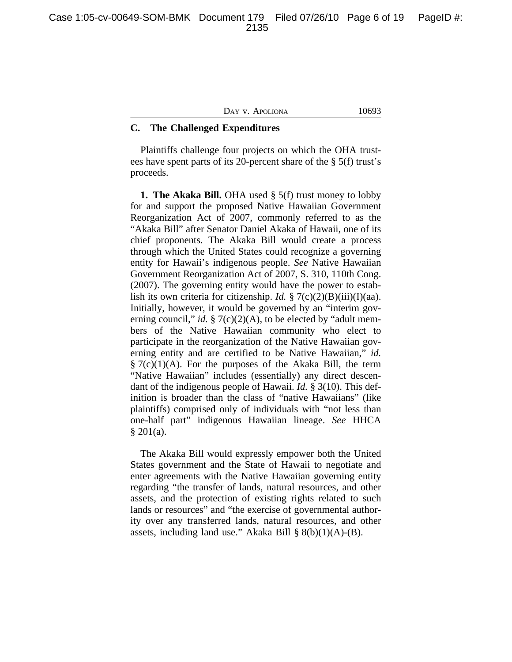| <b>JONA</b><br>I JAV.<br>v<br>APOLI | 2002 |
|-------------------------------------|------|
|                                     |      |

# **C. The Challenged Expenditures**

Plaintiffs challenge four projects on which the OHA trustees have spent parts of its 20-percent share of the § 5(f) trust's proceeds.

**1. The Akaka Bill.** OHA used § 5(f) trust money to lobby for and support the proposed Native Hawaiian Government Reorganization Act of 2007, commonly referred to as the "Akaka Bill" after Senator Daniel Akaka of Hawaii, one of its chief proponents. The Akaka Bill would create a process through which the United States could recognize a governing entity for Hawaii's indigenous people. *See* Native Hawaiian Government Reorganization Act of 2007, S. 310, 110th Cong. (2007). The governing entity would have the power to establish its own criteria for citizenship. *Id.* § 7(c)(2)(B)(iii)(I)(aa). Initially, however, it would be governed by an "interim governing council," *id.* § 7(c)(2)(A), to be elected by "adult members of the Native Hawaiian community who elect to participate in the reorganization of the Native Hawaiian governing entity and are certified to be Native Hawaiian," *id.*  $\S 7(c)(1)(A)$ . For the purposes of the Akaka Bill, the term "Native Hawaiian" includes (essentially) any direct descendant of the indigenous people of Hawaii. *Id.* § 3(10). This definition is broader than the class of "native Hawaiians" (like plaintiffs) comprised only of individuals with "not less than one-half part" indigenous Hawaiian lineage. *See* HHCA  $§ 201(a).$ 

The Akaka Bill would expressly empower both the United States government and the State of Hawaii to negotiate and enter agreements with the Native Hawaiian governing entity regarding "the transfer of lands, natural resources, and other assets, and the protection of existing rights related to such lands or resources" and "the exercise of governmental authority over any transferred lands, natural resources, and other assets, including land use." Akaka Bill  $\S 8(b)(1)(A)$ -(B).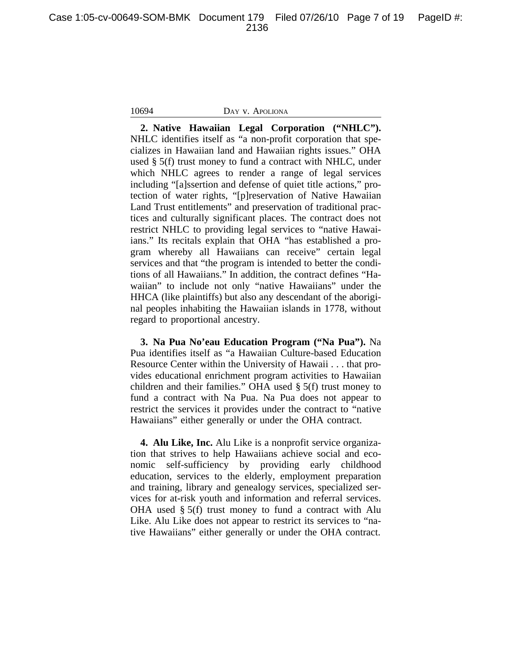Case 1:05-cv-00649-SOM-BMK Document 179 Filed 07/26/10 Page 7 of 19 PageID #: 2136

## 10694 DAY v. APOLIONA

**2. Native Hawaiian Legal Corporation ("NHLC").** NHLC identifies itself as "a non-profit corporation that specializes in Hawaiian land and Hawaiian rights issues." OHA used § 5(f) trust money to fund a contract with NHLC, under which NHLC agrees to render a range of legal services including "[a]ssertion and defense of quiet title actions," protection of water rights, "[p]reservation of Native Hawaiian Land Trust entitlements" and preservation of traditional practices and culturally significant places. The contract does not restrict NHLC to providing legal services to "native Hawaiians." Its recitals explain that OHA "has established a program whereby all Hawaiians can receive" certain legal services and that "the program is intended to better the conditions of all Hawaiians." In addition, the contract defines "Hawaiian" to include not only "native Hawaiians" under the HHCA (like plaintiffs) but also any descendant of the aboriginal peoples inhabiting the Hawaiian islands in 1778, without regard to proportional ancestry.

**3. Na Pua No'eau Education Program ("Na Pua").** Na Pua identifies itself as "a Hawaiian Culture-based Education Resource Center within the University of Hawaii . . . that provides educational enrichment program activities to Hawaiian children and their families." OHA used § 5(f) trust money to fund a contract with Na Pua. Na Pua does not appear to restrict the services it provides under the contract to "native Hawaiians" either generally or under the OHA contract.

**4. Alu Like, Inc.** Alu Like is a nonprofit service organization that strives to help Hawaiians achieve social and economic self-sufficiency by providing early childhood education, services to the elderly, employment preparation and training, library and genealogy services, specialized services for at-risk youth and information and referral services. OHA used § 5(f) trust money to fund a contract with Alu Like. Alu Like does not appear to restrict its services to "native Hawaiians" either generally or under the OHA contract.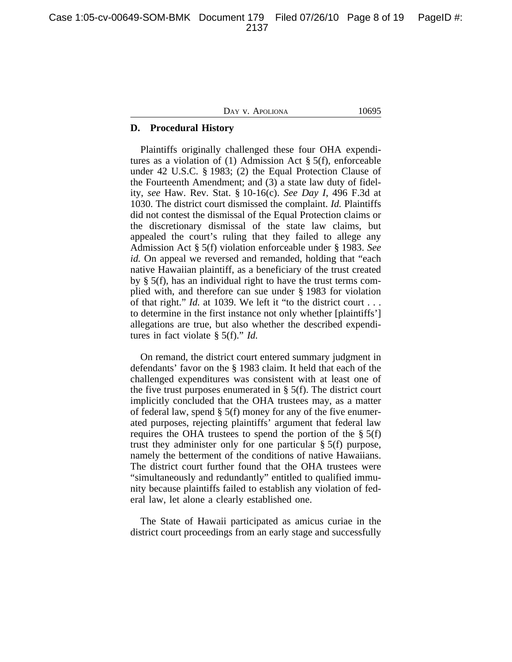Case 1:05-cv-00649-SOM-BMK Document 179 Filed 07/26/10 Page 8 of 19 PageID #: 2137

DAY V. APOLIONA 10695

## **D. Procedural History**

Plaintiffs originally challenged these four OHA expenditures as a violation of (1) Admission Act § 5(f), enforceable under 42 U.S.C. § 1983; (2) the Equal Protection Clause of the Fourteenth Amendment; and (3) a state law duty of fidelity, *see* Haw. Rev. Stat. § 10-16(c). *See Day I*, 496 F.3d at 1030. The district court dismissed the complaint. *Id.* Plaintiffs did not contest the dismissal of the Equal Protection claims or the discretionary dismissal of the state law claims, but appealed the court's ruling that they failed to allege any Admission Act § 5(f) violation enforceable under § 1983. *See id.* On appeal we reversed and remanded, holding that "each native Hawaiian plaintiff, as a beneficiary of the trust created by § 5(f), has an individual right to have the trust terms complied with, and therefore can sue under § 1983 for violation of that right." *Id.* at 1039. We left it "to the district court . . . to determine in the first instance not only whether [plaintiffs'] allegations are true, but also whether the described expenditures in fact violate § 5(f)." *Id.*

On remand, the district court entered summary judgment in defendants' favor on the § 1983 claim. It held that each of the challenged expenditures was consistent with at least one of the five trust purposes enumerated in  $\S$  5(f). The district court implicitly concluded that the OHA trustees may, as a matter of federal law, spend § 5(f) money for any of the five enumerated purposes, rejecting plaintiffs' argument that federal law requires the OHA trustees to spend the portion of the  $\S$  5(f) trust they administer only for one particular § 5(f) purpose, namely the betterment of the conditions of native Hawaiians. The district court further found that the OHA trustees were "simultaneously and redundantly" entitled to qualified immunity because plaintiffs failed to establish any violation of federal law, let alone a clearly established one.

The State of Hawaii participated as amicus curiae in the district court proceedings from an early stage and successfully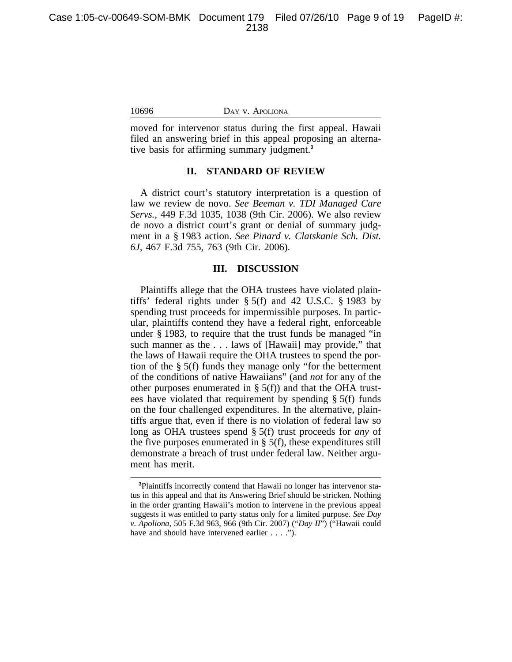moved for intervenor status during the first appeal. Hawaii filed an answering brief in this appeal proposing an alternative basis for affirming summary judgment.**<sup>3</sup>**

## **II. STANDARD OF REVIEW**

A district court's statutory interpretation is a question of law we review de novo. *See Beeman v. TDI Managed Care Servs.*, 449 F.3d 1035, 1038 (9th Cir. 2006). We also review de novo a district court's grant or denial of summary judgment in a § 1983 action. *See Pinard v. Clatskanie Sch. Dist. 6J*, 467 F.3d 755, 763 (9th Cir. 2006).

## **III. DISCUSSION**

Plaintiffs allege that the OHA trustees have violated plaintiffs' federal rights under § 5(f) and 42 U.S.C. § 1983 by spending trust proceeds for impermissible purposes. In particular, plaintiffs contend they have a federal right, enforceable under § 1983, to require that the trust funds be managed "in such manner as the . . . laws of [Hawaii] may provide," that the laws of Hawaii require the OHA trustees to spend the portion of the § 5(f) funds they manage only "for the betterment of the conditions of native Hawaiians" (and *not* for any of the other purposes enumerated in  $\S$  5(f)) and that the OHA trustees have violated that requirement by spending § 5(f) funds on the four challenged expenditures. In the alternative, plaintiffs argue that, even if there is no violation of federal law so long as OHA trustees spend § 5(f) trust proceeds for *any* of the five purposes enumerated in  $\S$  5(f), these expenditures still demonstrate a breach of trust under federal law. Neither argument has merit.

**<sup>3</sup>**Plaintiffs incorrectly contend that Hawaii no longer has intervenor status in this appeal and that its Answering Brief should be stricken. Nothing in the order granting Hawaii's motion to intervene in the previous appeal suggests it was entitled to party status only for a limited purpose. *See Day v. Apoliona*, 505 F.3d 963, 966 (9th Cir. 2007) ("*Day II*") ("Hawaii could have and should have intervened earlier . . . .").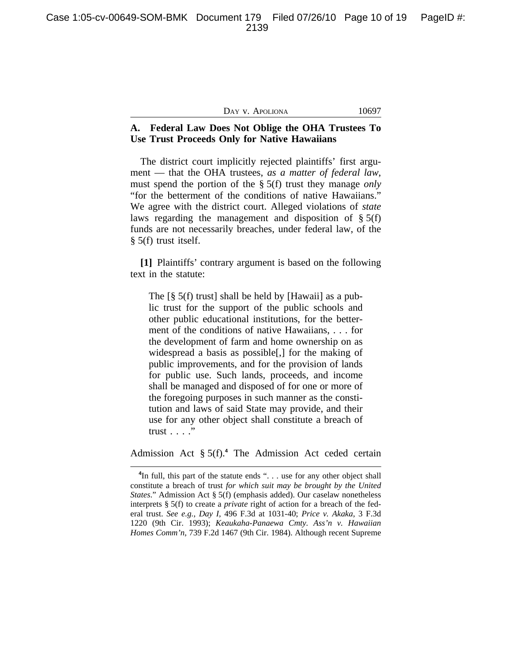|  | Day v. Apoliona |
|--|-----------------|
|--|-----------------|

10697

# **A. Federal Law Does Not Oblige the OHA Trustees To Use Trust Proceeds Only for Native Hawaiians**

The district court implicitly rejected plaintiffs' first argument — that the OHA trustees, *as a matter of federal law*, must spend the portion of the § 5(f) trust they manage *only* "for the betterment of the conditions of native Hawaiians." We agree with the district court. Alleged violations of *state* laws regarding the management and disposition of § 5(f) funds are not necessarily breaches, under federal law, of the § 5(f) trust itself.

**[1]** Plaintiffs' contrary argument is based on the following text in the statute:

The [§ 5(f) trust] shall be held by [Hawaii] as a public trust for the support of the public schools and other public educational institutions, for the betterment of the conditions of native Hawaiians, . . . for the development of farm and home ownership on as widespread a basis as possible[,] for the making of public improvements, and for the provision of lands for public use. Such lands, proceeds, and income shall be managed and disposed of for one or more of the foregoing purposes in such manner as the constitution and laws of said State may provide, and their use for any other object shall constitute a breach of trust . . . ."

Admission Act § 5(f).**<sup>4</sup>** The Admission Act ceded certain

<sup>&</sup>lt;sup>4</sup>In full, this part of the statute ends ". . . use for any other object shall constitute a breach of trust *for which suit may be brought by the United States*." Admission Act § 5(f) (emphasis added). Our caselaw nonetheless interprets § 5(f) to create a *private* right of action for a breach of the federal trust. *See e.g.*, *Day I*, 496 F.3d at 1031-40; *Price v. Akaka*, 3 F.3d 1220 (9th Cir. 1993); *Keaukaha-Panaewa Cmty. Ass'n v. Hawaiian Homes Comm'n*, 739 F.2d 1467 (9th Cir. 1984). Although recent Supreme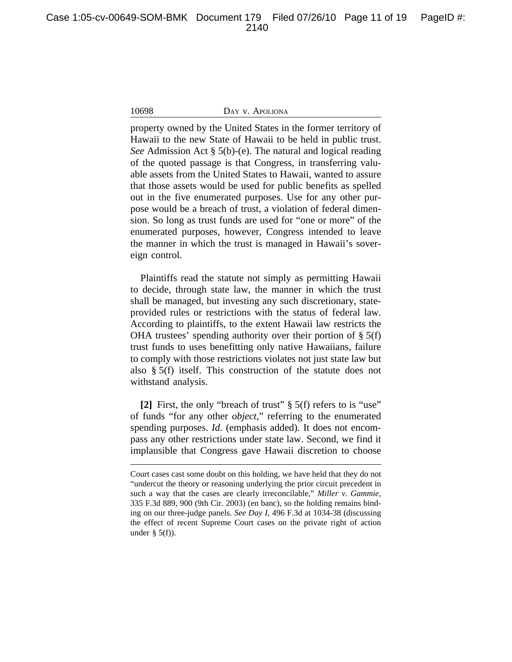property owned by the United States in the former territory of Hawaii to the new State of Hawaii to be held in public trust. *See* Admission Act § 5(b)-(e). The natural and logical reading of the quoted passage is that Congress, in transferring valuable assets from the United States to Hawaii, wanted to assure that those assets would be used for public benefits as spelled out in the five enumerated purposes. Use for any other purpose would be a breach of trust, a violation of federal dimension. So long as trust funds are used for "one or more" of the enumerated purposes, however, Congress intended to leave the manner in which the trust is managed in Hawaii's sovereign control.

Plaintiffs read the statute not simply as permitting Hawaii to decide, through state law, the manner in which the trust shall be managed, but investing any such discretionary, stateprovided rules or restrictions with the status of federal law. According to plaintiffs, to the extent Hawaii law restricts the OHA trustees' spending authority over their portion of  $\S$  5(f) trust funds to uses benefitting only native Hawaiians, failure to comply with those restrictions violates not just state law but also § 5(f) itself. This construction of the statute does not withstand analysis.

**[2]** First, the only "breach of trust" § 5(f) refers to is "use" of funds "for any other *object*," referring to the enumerated spending purposes. *Id.* (emphasis added). It does not encompass any other restrictions under state law. Second, we find it implausible that Congress gave Hawaii discretion to choose

Court cases cast some doubt on this holding, we have held that they do not "undercut the theory or reasoning underlying the prior circuit precedent in such a way that the cases are clearly irreconcilable," *Miller v. Gammie*, 335 F.3d 889, 900 (9th Cir. 2003) (en banc), so the holding remains binding on our three-judge panels. *See Day I*, 496 F.3d at 1034-38 (discussing the effect of recent Supreme Court cases on the private right of action under  $\S$  5(f)).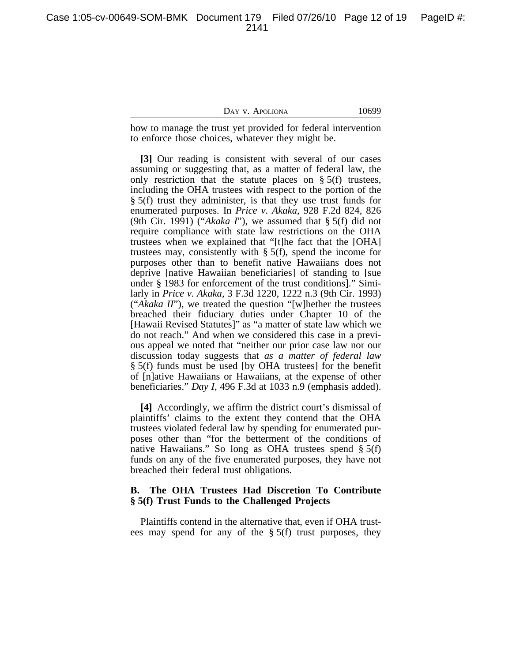Case 1:05-cv-00649-SOM-BMK Document 179 Filed 07/26/10 Page 12 of 19 PageID #: 2141

## DAY V. APOLIONA 10699

how to manage the trust yet provided for federal intervention to enforce those choices, whatever they might be.

**[3]** Our reading is consistent with several of our cases assuming or suggesting that, as a matter of federal law, the only restriction that the statute places on  $\S$  5(f) trustees, including the OHA trustees with respect to the portion of the § 5(f) trust they administer, is that they use trust funds for enumerated purposes. In *Price v. Akaka*, 928 F.2d 824, 826 (9th Cir. 1991) ("*Akaka I*"), we assumed that § 5(f) did not require compliance with state law restrictions on the OHA trustees when we explained that "[t]he fact that the [OHA] trustees may, consistently with  $\S$  5(f), spend the income for purposes other than to benefit native Hawaiians does not deprive [native Hawaiian beneficiaries] of standing to [sue under § 1983 for enforcement of the trust conditions]." Similarly in *Price v. Akaka*, 3 F.3d 1220, 1222 n.3 (9th Cir. 1993) ("*Akaka II*"), we treated the question "[w]hether the trustees breached their fiduciary duties under Chapter 10 of the [Hawaii Revised Statutes]" as "a matter of state law which we do not reach." And when we considered this case in a previous appeal we noted that "neither our prior case law nor our discussion today suggests that *as a matter of federal law* § 5(f) funds must be used [by OHA trustees] for the benefit of [n]ative Hawaiians or Hawaiians, at the expense of other beneficiaries." *Day I*, 496 F.3d at 1033 n.9 (emphasis added).

**[4]** Accordingly, we affirm the district court's dismissal of plaintiffs' claims to the extent they contend that the OHA trustees violated federal law by spending for enumerated purposes other than "for the betterment of the conditions of native Hawaiians." So long as OHA trustees spend  $\S 5(f)$ funds on any of the five enumerated purposes, they have not breached their federal trust obligations.

# **B. The OHA Trustees Had Discretion To Contribute § 5(f) Trust Funds to the Challenged Projects**

Plaintiffs contend in the alternative that, even if OHA trustees may spend for any of the § 5(f) trust purposes, they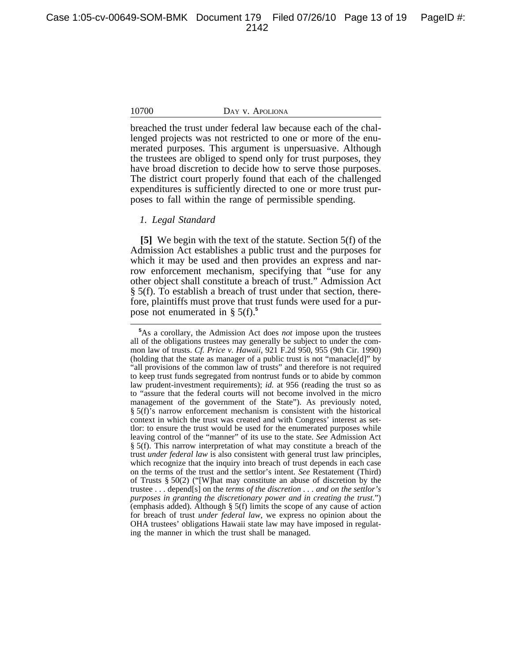breached the trust under federal law because each of the challenged projects was not restricted to one or more of the enumerated purposes. This argument is unpersuasive. Although the trustees are obliged to spend only for trust purposes, they have broad discretion to decide how to serve those purposes. The district court properly found that each of the challenged expenditures is sufficiently directed to one or more trust purposes to fall within the range of permissible spending.

## *1. Legal Standard*

**[5]** We begin with the text of the statute. Section 5(f) of the Admission Act establishes a public trust and the purposes for which it may be used and then provides an express and narrow enforcement mechanism, specifying that "use for any other object shall constitute a breach of trust." Admission Act § 5(f). To establish a breach of trust under that section, therefore, plaintiffs must prove that trust funds were used for a purpose not enumerated in § 5(f).**<sup>5</sup>**

**<sup>5</sup>**As a corollary, the Admission Act does *not* impose upon the trustees all of the obligations trustees may generally be subject to under the common law of trusts. *Cf. Price v. Hawaii*, 921 F.2d 950, 955 (9th Cir. 1990) (holding that the state as manager of a public trust is not "manacle[d]" by "all provisions of the common law of trusts" and therefore is not required to keep trust funds segregated from nontrust funds or to abide by common law prudent-investment requirements); *id.* at 956 (reading the trust so as to "assure that the federal courts will not become involved in the micro management of the government of the State"). As previously noted, § 5(f)'s narrow enforcement mechanism is consistent with the historical context in which the trust was created and with Congress' interest as settlor: to ensure the trust would be used for the enumerated purposes while leaving control of the "manner" of its use to the state. *See* Admission Act § 5(f). This narrow interpretation of what may constitute a breach of the trust *under federal law* is also consistent with general trust law principles, which recognize that the inquiry into breach of trust depends in each case on the terms of the trust and the settlor's intent. *See* Restatement (Third) of Trusts § 50(2) ("[W]hat may constitute an abuse of discretion by the trustee . . . depend[s] on the *terms of the discretion . . . and on the settlor's purposes in granting the discretionary power and in creating the trust*.") (emphasis added). Although § 5(f) limits the scope of any cause of action for breach of trust *under federal law*, we express no opinion about the OHA trustees' obligations Hawaii state law may have imposed in regulating the manner in which the trust shall be managed.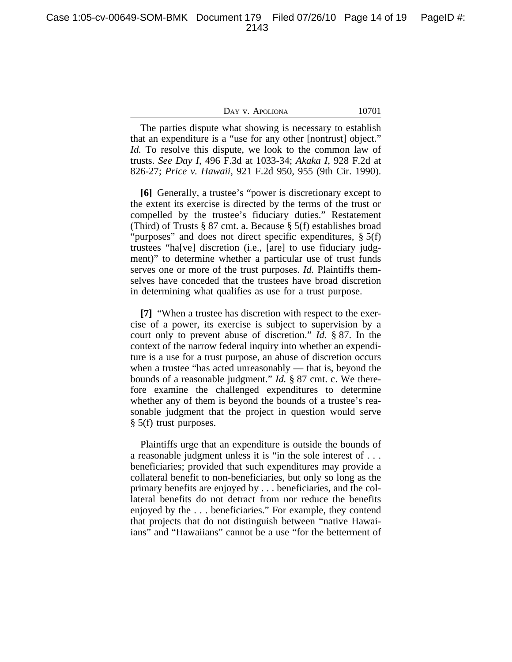Case 1:05-cv-00649-SOM-BMK Document 179 Filed 07/26/10 Page 14 of 19 PageID #: 2143

| DAY v. Apoliona |  |
|-----------------|--|
|-----------------|--|

10701

The parties dispute what showing is necessary to establish that an expenditure is a "use for any other [nontrust] object." *Id.* To resolve this dispute, we look to the common law of trusts. *See Day I*, 496 F.3d at 1033-34; *Akaka I*, 928 F.2d at 826-27; *Price v. Hawaii*, 921 F.2d 950, 955 (9th Cir. 1990).

**[6]** Generally, a trustee's "power is discretionary except to the extent its exercise is directed by the terms of the trust or compelled by the trustee's fiduciary duties." Restatement (Third) of Trusts § 87 cmt. a. Because § 5(f) establishes broad "purposes" and does not direct specific expenditures, § 5(f) trustees "ha[ve] discretion (i.e., [are] to use fiduciary judgment)" to determine whether a particular use of trust funds serves one or more of the trust purposes. *Id.* Plaintiffs themselves have conceded that the trustees have broad discretion in determining what qualifies as use for a trust purpose.

**[7]** "When a trustee has discretion with respect to the exercise of a power, its exercise is subject to supervision by a court only to prevent abuse of discretion." *Id.* § 87. In the context of the narrow federal inquiry into whether an expenditure is a use for a trust purpose, an abuse of discretion occurs when a trustee "has acted unreasonably — that is, beyond the bounds of a reasonable judgment." *Id.* § 87 cmt. c. We therefore examine the challenged expenditures to determine whether any of them is beyond the bounds of a trustee's reasonable judgment that the project in question would serve § 5(f) trust purposes.

Plaintiffs urge that an expenditure is outside the bounds of a reasonable judgment unless it is "in the sole interest of . . . beneficiaries; provided that such expenditures may provide a collateral benefit to non-beneficiaries, but only so long as the primary benefits are enjoyed by . . . beneficiaries, and the collateral benefits do not detract from nor reduce the benefits enjoyed by the . . . beneficiaries." For example, they contend that projects that do not distinguish between "native Hawaiians" and "Hawaiians" cannot be a use "for the betterment of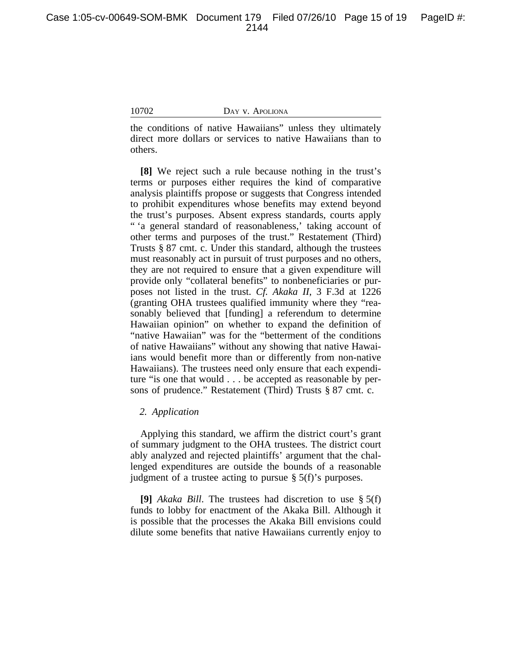the conditions of native Hawaiians" unless they ultimately direct more dollars or services to native Hawaiians than to others.

**[8]** We reject such a rule because nothing in the trust's terms or purposes either requires the kind of comparative analysis plaintiffs propose or suggests that Congress intended to prohibit expenditures whose benefits may extend beyond the trust's purposes. Absent express standards, courts apply " 'a general standard of reasonableness,' taking account of other terms and purposes of the trust." Restatement (Third) Trusts § 87 cmt. c. Under this standard, although the trustees must reasonably act in pursuit of trust purposes and no others, they are not required to ensure that a given expenditure will provide only "collateral benefits" to nonbeneficiaries or purposes not listed in the trust. *Cf. Akaka II*, 3 F.3d at 1226 (granting OHA trustees qualified immunity where they "reasonably believed that [funding] a referendum to determine Hawaiian opinion" on whether to expand the definition of "native Hawaiian" was for the "betterment of the conditions of native Hawaiians" without any showing that native Hawaiians would benefit more than or differently from non-native Hawaiians). The trustees need only ensure that each expenditure "is one that would . . . be accepted as reasonable by persons of prudence." Restatement (Third) Trusts § 87 cmt. c.

# *2. Application*

Applying this standard, we affirm the district court's grant of summary judgment to the OHA trustees. The district court ably analyzed and rejected plaintiffs' argument that the challenged expenditures are outside the bounds of a reasonable judgment of a trustee acting to pursue § 5(f)'s purposes.

**[9]** *Akaka Bill*. The trustees had discretion to use § 5(f) funds to lobby for enactment of the Akaka Bill. Although it is possible that the processes the Akaka Bill envisions could dilute some benefits that native Hawaiians currently enjoy to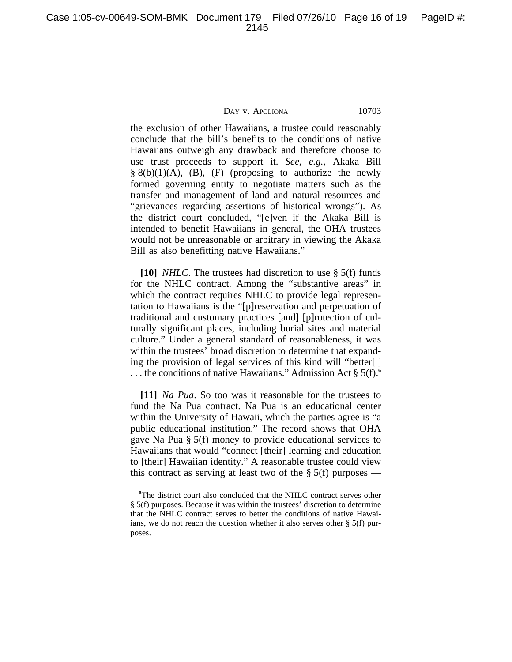Case 1:05-cv-00649-SOM-BMK Document 179 Filed 07/26/10 Page 16 of 19 PageID #: 2145

## DAY V. APOLIONA 10703

the exclusion of other Hawaiians, a trustee could reasonably conclude that the bill's benefits to the conditions of native Hawaiians outweigh any drawback and therefore choose to use trust proceeds to support it. *See, e.g.*, Akaka Bill  $\S 8(b)(1)(A)$ , (B), (F) (proposing to authorize the newly formed governing entity to negotiate matters such as the transfer and management of land and natural resources and "grievances regarding assertions of historical wrongs"). As the district court concluded, "[e]ven if the Akaka Bill is intended to benefit Hawaiians in general, the OHA trustees would not be unreasonable or arbitrary in viewing the Akaka Bill as also benefitting native Hawaiians."

**[10]** *NHLC*. The trustees had discretion to use § 5(f) funds for the NHLC contract. Among the "substantive areas" in which the contract requires NHLC to provide legal representation to Hawaiians is the "[p]reservation and perpetuation of traditional and customary practices [and] [p]rotection of culturally significant places, including burial sites and material culture." Under a general standard of reasonableness, it was within the trustees' broad discretion to determine that expanding the provision of legal services of this kind will "better[ ] . . . the conditions of native Hawaiians." Admission Act § 5(f).**<sup>6</sup>**

**[11]** *Na Pua*. So too was it reasonable for the trustees to fund the Na Pua contract. Na Pua is an educational center within the University of Hawaii, which the parties agree is "a public educational institution." The record shows that OHA gave Na Pua § 5(f) money to provide educational services to Hawaiians that would "connect [their] learning and education to [their] Hawaiian identity." A reasonable trustee could view this contract as serving at least two of the  $\S$  5(f) purposes —

**<sup>6</sup>**The district court also concluded that the NHLC contract serves other § 5(f) purposes. Because it was within the trustees' discretion to determine that the NHLC contract serves to better the conditions of native Hawaiians, we do not reach the question whether it also serves other  $\S$  5(f) purposes.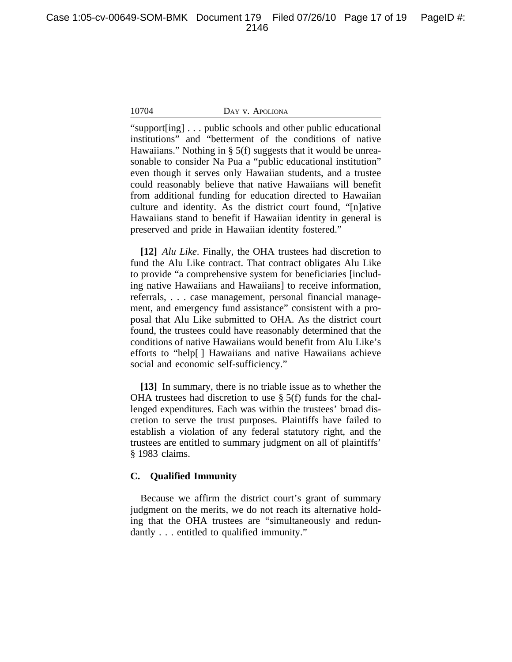"support[ing] . . . public schools and other public educational institutions" and "betterment of the conditions of native Hawaiians." Nothing in § 5(f) suggests that it would be unreasonable to consider Na Pua a "public educational institution" even though it serves only Hawaiian students, and a trustee could reasonably believe that native Hawaiians will benefit from additional funding for education directed to Hawaiian culture and identity. As the district court found, "[n]ative Hawaiians stand to benefit if Hawaiian identity in general is preserved and pride in Hawaiian identity fostered."

**[12]** *Alu Like*. Finally, the OHA trustees had discretion to fund the Alu Like contract. That contract obligates Alu Like to provide "a comprehensive system for beneficiaries [including native Hawaiians and Hawaiians] to receive information, referrals, . . . case management, personal financial management, and emergency fund assistance" consistent with a proposal that Alu Like submitted to OHA. As the district court found, the trustees could have reasonably determined that the conditions of native Hawaiians would benefit from Alu Like's efforts to "help[ ] Hawaiians and native Hawaiians achieve social and economic self-sufficiency."

**[13]** In summary, there is no triable issue as to whether the OHA trustees had discretion to use § 5(f) funds for the challenged expenditures. Each was within the trustees' broad discretion to serve the trust purposes. Plaintiffs have failed to establish a violation of any federal statutory right, and the trustees are entitled to summary judgment on all of plaintiffs' § 1983 claims.

# **C. Qualified Immunity**

Because we affirm the district court's grant of summary judgment on the merits, we do not reach its alternative holding that the OHA trustees are "simultaneously and redundantly . . . entitled to qualified immunity."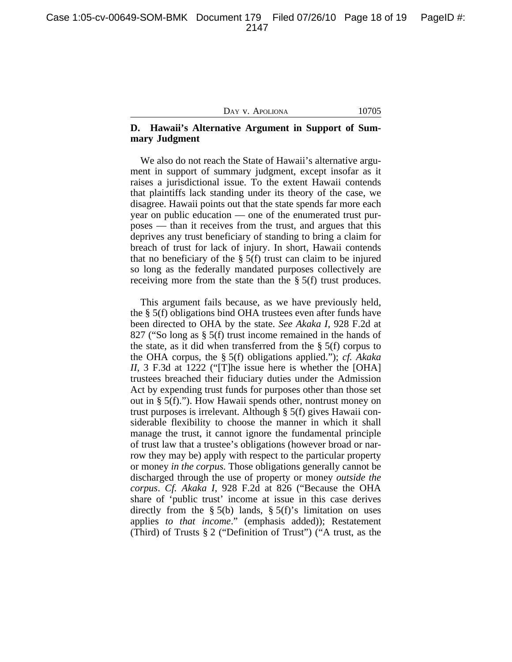# **D. Hawaii's Alternative Argument in Support of Summary Judgment**

We also do not reach the State of Hawaii's alternative argument in support of summary judgment, except insofar as it raises a jurisdictional issue. To the extent Hawaii contends that plaintiffs lack standing under its theory of the case, we disagree. Hawaii points out that the state spends far more each year on public education — one of the enumerated trust purposes — than it receives from the trust, and argues that this deprives any trust beneficiary of standing to bring a claim for breach of trust for lack of injury. In short, Hawaii contends that no beneficiary of the  $\S$  5(f) trust can claim to be injured so long as the federally mandated purposes collectively are receiving more from the state than the § 5(f) trust produces.

This argument fails because, as we have previously held, the § 5(f) obligations bind OHA trustees even after funds have been directed to OHA by the state. *See Akaka I*, 928 F.2d at 827 ("So long as § 5(f) trust income remained in the hands of the state, as it did when transferred from the § 5(f) corpus to the OHA corpus, the § 5(f) obligations applied."); *cf. Akaka II*, 3 F.3d at 1222 ("[T]he issue here is whether the [OHA] trustees breached their fiduciary duties under the Admission Act by expending trust funds for purposes other than those set out in § 5(f)."). How Hawaii spends other, nontrust money on trust purposes is irrelevant. Although § 5(f) gives Hawaii considerable flexibility to choose the manner in which it shall manage the trust, it cannot ignore the fundamental principle of trust law that a trustee's obligations (however broad or narrow they may be) apply with respect to the particular property or money *in the corpus.* Those obligations generally cannot be discharged through the use of property or money *outside the corpus*. *Cf. Akaka I*, 928 F.2d at 826 ("Because the OHA share of 'public trust' income at issue in this case derives directly from the  $\S$  5(b) lands,  $\S$  5(f)'s limitation on uses applies *to that income*." (emphasis added)); Restatement (Third) of Trusts § 2 ("Definition of Trust") ("A trust, as the